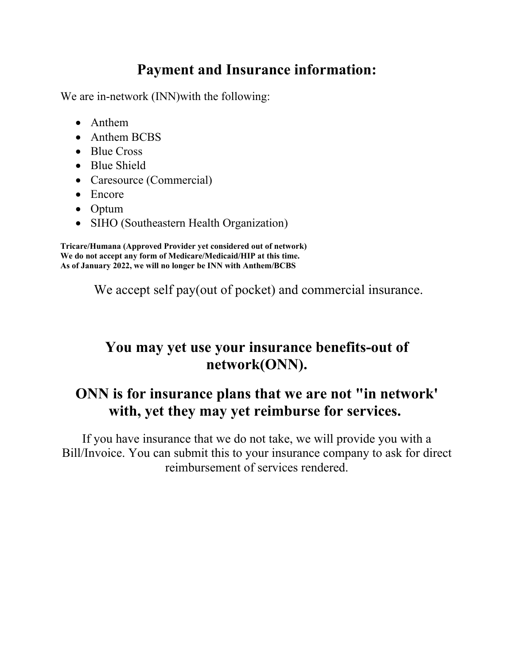## **Payment and Insurance information:**

We are in-network (INN)with the following:

- Anthem
- Anthem BCBS
- Blue Cross
- Blue Shield
- Caresource (Commercial)
- Encore
- Optum
- SIHO (Southeastern Health Organization)

**Tricare/Humana (Approved Provider yet considered out of network) We do not accept any form of Medicare/Medicaid/HIP at this time. As of January 2022, we will no longer be INN with Anthem/BCBS**

We accept self pay(out of pocket) and commercial insurance.

## **You may yet use your insurance benefits-out of network(ONN).**

## **ONN is for insurance plans that we are not "in network' with, yet they may yet reimburse for services.**

If you have insurance that we do not take, we will provide you with a Bill/Invoice. You can submit this to your insurance company to ask for direct reimbursement of services rendered.